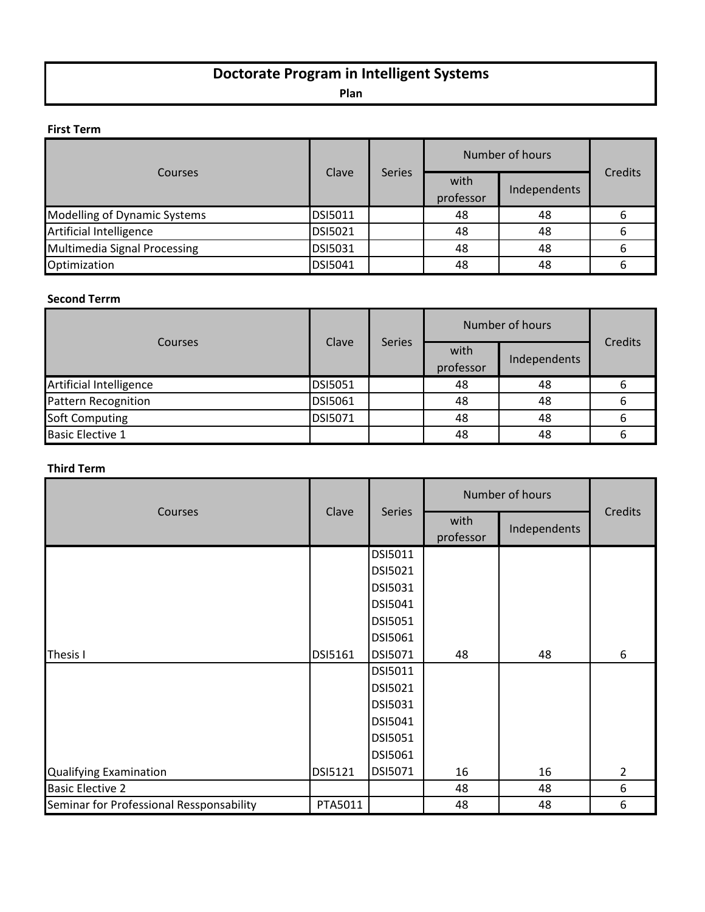# **Doctorate Program in Intelligent Systems**

**Plan**

# **First Term**

| Courses                             | Clave          |               | Number of hours   |              |         |
|-------------------------------------|----------------|---------------|-------------------|--------------|---------|
|                                     |                | <b>Series</b> | with<br>professor | Independents | Credits |
| Modelling of Dynamic Systems        | <b>DSI5011</b> |               | 48                | 48           | 6       |
| Artificial Intelligence             | <b>DSI5021</b> |               | 48                | 48           | b       |
| <b>Multimedia Signal Processing</b> | <b>DSI5031</b> |               | 48                | 48           | 6       |
| Optimization                        | DSI5041        |               | 48                | 48           | ь       |

## **Second Terrm**

| Courses                    | Clave          | <b>Series</b> |                   | Number of hours | Credits |
|----------------------------|----------------|---------------|-------------------|-----------------|---------|
|                            |                |               | with<br>professor | Independents    |         |
| Artificial Intelligence    | <b>DSI5051</b> |               | 48                | 48              |         |
| <b>Pattern Recognition</b> | <b>DSI5061</b> |               | 48                | 48              |         |
| <b>Soft Computing</b>      | <b>DSI5071</b> |               | 48                | 48              |         |
| <b>Basic Elective 1</b>    |                |               | 48                | 48              |         |

## **Third Term**

| Courses                                  | Clave<br><b>Series</b> |         | Number of hours   |              |                |
|------------------------------------------|------------------------|---------|-------------------|--------------|----------------|
|                                          |                        |         | with<br>professor | Independents | Credits        |
|                                          |                        | DSI5011 |                   |              |                |
|                                          |                        | DSI5021 |                   |              |                |
|                                          |                        | DSI5031 |                   |              |                |
|                                          |                        | DSI5041 |                   |              |                |
|                                          |                        | DSI5051 |                   |              |                |
|                                          |                        | DSI5061 |                   |              |                |
| Thesis I                                 | DSI5161                | DSI5071 | 48                | 48           | 6              |
|                                          |                        | DSI5011 |                   |              |                |
|                                          |                        | DSI5021 |                   |              |                |
|                                          |                        | DSI5031 |                   |              |                |
|                                          |                        | DSI5041 |                   |              |                |
|                                          |                        | DSI5051 |                   |              |                |
|                                          |                        | DSI5061 |                   |              |                |
| <b>Qualifying Examination</b>            | DSI5121                | DSI5071 | 16                | 16           | $\overline{2}$ |
| <b>Basic Elective 2</b>                  |                        |         | 48                | 48           | 6              |
| Seminar for Professional Ressponsability | PTA5011                |         | 48                | 48           | 6              |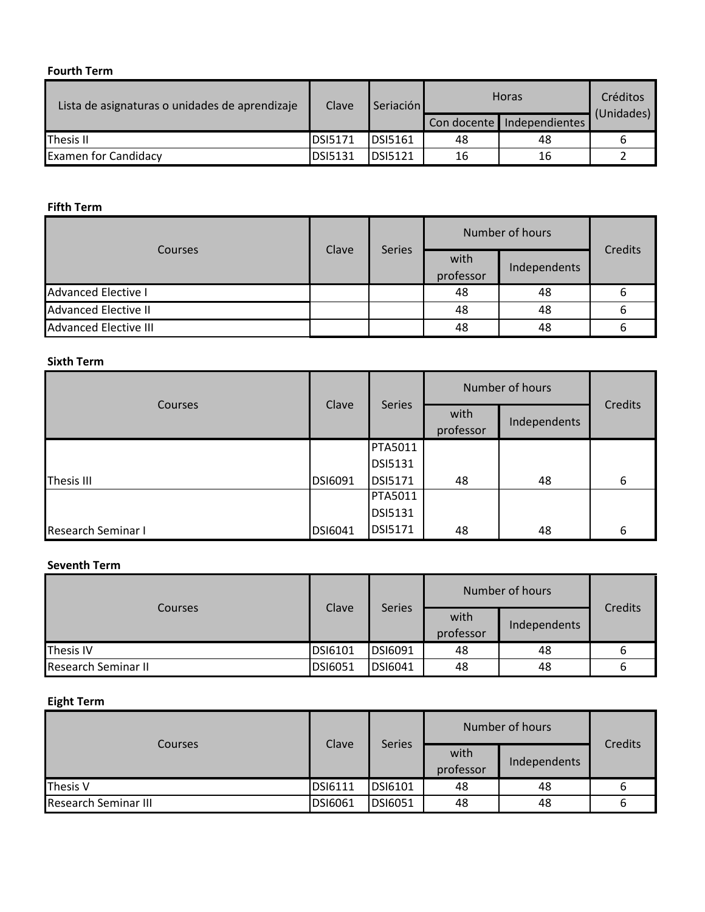### **Fourth Term**

| Lista de asignaturas o unidades de aprendizaje | Clave          | Seriación      | <b>Horas</b> |                              | Créditos   |
|------------------------------------------------|----------------|----------------|--------------|------------------------------|------------|
|                                                |                |                |              | Con docente   Independientes | (Unidades) |
| Thesis II                                      | <b>DSI5171</b> | <b>DSI5161</b> | 48           | 48                           |            |
| <b>Examen for Candidacy</b>                    | <b>DSI5131</b> | <b>DSI5121</b> | 16           | 16                           |            |

#### **Fifth Term**

| Courses                      | Clave | <b>Series</b> |                   | Number of hours |         |
|------------------------------|-------|---------------|-------------------|-----------------|---------|
|                              |       |               | with<br>professor | Independents    | Credits |
| <b>Advanced Elective I</b>   |       |               | 48                | 48              | b       |
| <b>Advanced Elective II</b>  |       |               | 48                | 48              | b       |
| <b>Advanced Elective III</b> |       |               | 48                | 48              |         |

# **Sixth Term**

| Courses            | Clave          |                |                   | Number of hours |         |
|--------------------|----------------|----------------|-------------------|-----------------|---------|
|                    |                | Series         | with<br>professor | Independents    | Credits |
|                    |                | <b>PTA5011</b> |                   |                 |         |
|                    |                | <b>DSI5131</b> |                   |                 |         |
| <b>Thesis III</b>  | <b>DSI6091</b> | <b>DSI5171</b> | 48                | 48              | 6       |
|                    |                | PTA5011        |                   |                 |         |
|                    |                | <b>DSI5131</b> |                   |                 |         |
| Research Seminar I | <b>DSI6041</b> | <b>DSI5171</b> | 48                | 48              | 6       |

# **Seventh Term**

| Courses                    | Clave          | <b>Series</b> |                   | Number of hours | <b>Credits</b> |
|----------------------------|----------------|---------------|-------------------|-----------------|----------------|
|                            |                |               | with<br>professor | Independents    |                |
| <b>Thesis IV</b>           | <b>DSI6101</b> | DSI6091       | 48                | 48              |                |
| <b>Research Seminar II</b> | <b>DSI6051</b> | DSI6041       | 48                | 48              |                |

# **Eight Term**

| Courses                     | Clave          |                |                   | Number of hours | Credits |
|-----------------------------|----------------|----------------|-------------------|-----------------|---------|
|                             |                | <b>Series</b>  | with<br>professor | Independents    |         |
| Thesis V                    | <b>DSI6111</b> | <b>DSI6101</b> | 48                | 48              |         |
| <b>Research Seminar III</b> | <b>DSI6061</b> | DSI6051        | 48                | 48              |         |